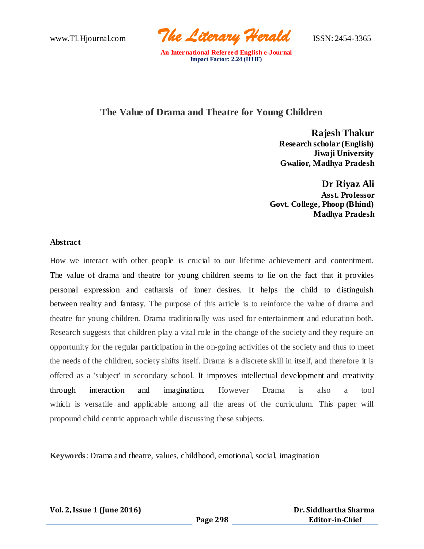www.TLHjournal.com *The Literary Herald*ISSN: 2454-3365

# **The Value of Drama and Theatre for Young Children**

**Rajesh Thakur Research scholar (English) Jiwaji University Gwalior, Madhya Pradesh**

**Dr Riyaz Ali Asst. Professor Govt. College, Phoop (Bhind) Madhya Pradesh**

## **Abstract**

How we interact with other people is crucial to our lifetime achievement and contentment. The value of drama and theatre for young children seems to lie on the fact that it provides personal expression and catharsis of inner desires. It helps the child to distinguish between reality and fantasy. The purpose of this article is to reinforce the value of drama and theatre for young children. Drama traditionally was used for entertainment and education both. Research suggests that children play a vital role in the change of the society and they require an opportunity for the regular participation in the on-going activities of the society and thus to meet the needs of the children, society shifts itself. Drama is a discrete skill in itself, and therefore it is offered as a 'subject' in secondary school. It improves intellectual development and creativity through interaction and imagination. However Drama is also a tool which is versatile and applicable among all the areas of the curriculum. This paper will propound child centric approach while discussing these subjects.

**Keywords**: Drama and theatre, values, childhood, emotional, social, imagination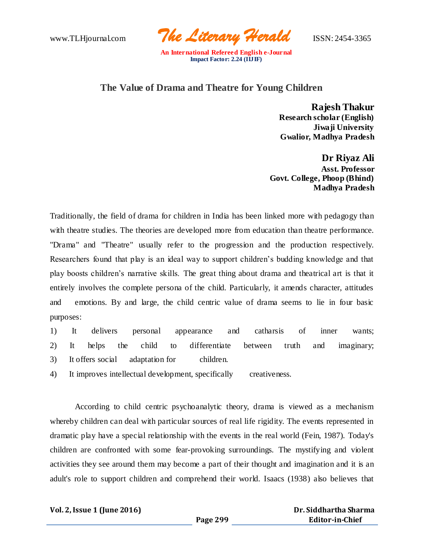www.TLHjournal.com *The Literary Herald*ISSN: 2454-3365

## **The Value of Drama and Theatre for Young Children**

**Rajesh Thakur Research scholar (English) Jiwaji University Gwalior, Madhya Pradesh**

**Dr Riyaz Ali Asst. Professor Govt. College, Phoop (Bhind) Madhya Pradesh**

Traditionally, the field of drama for children in India has been linked more with pedagogy than with theatre studies. The theories are developed more from education than theatre performance. "Drama" and "Theatre" usually refer to the progression and the production respectively. Researchers found that play is an ideal way to support children's budding knowledge and that play boosts children's narrative skills. The great thing about drama and theatrical art is that it entirely involves the complete persona of the child. Particularly, it amends character, attitudes and emotions. By and large, the child centric value of drama seems to lie in four basic purposes:

- 1) It delivers personal appearance and catharsis of inner wants; 2) It helps the child to differentiate between truth and imaginary;
- 3) It offers social adaptation for children.
- 4) It improves intellectual development, specifically creativeness.

According to child centric psychoanalytic theory, drama is viewed as a mechanism whereby children can deal with particular sources of real life rigidity. The events represented in dramatic play have a special relationship with the events in the real world (Fein, 1987). Today's children are confronted with some fear-provoking surroundings. The mystifying and violent activities they see around them may become a part of their thought and imagination and it is an adult's role to support children and comprehend their world. Isaacs (1938) also believes that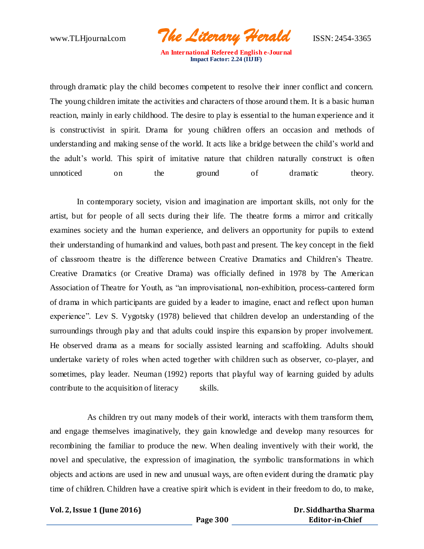www.TLHjournal.com *The Literary Herald*ISSN: 2454-3365

through dramatic play the child becomes competent to resolve their inner conflict and concern. The young children imitate the activities and characters of those around them. It is a basic human reaction, mainly in early childhood. The desire to play is essential to the human experience and it is constructivist in spirit. Drama for young children offers an occasion and methods of understanding and making sense of the world. It acts like a bridge between the child's world and the adult's world. This spirit of imitative nature that children naturally construct is often unnoticed on the ground of dramatic theory.

 In contemporary society, vision and imagination are important skills, not only for the artist, but for people of all sects during their life. The theatre forms a mirror and critically examines society and the human experience, and delivers an opportunity for pupils to extend their understanding of humankind and values, both past and present. The key concept in the field of classroom theatre is the difference between Creative Dramatics and Children's Theatre. Creative Dramatics (or Creative Drama) was officially defined in 1978 by The American Association of Theatre for Youth, as "an improvisational, non-exhibition, process-cantered form of drama in which participants are guided by a leader to imagine, enact and reflect upon human experience". Lev S. Vygotsky (1978) believed that children develop an understanding of the surroundings through play and that adults could inspire this expansion by proper involvement. He observed drama as a means for socially assisted learning and scaffolding. Adults should undertake variety of roles when acted together with children such as observer, co-player, and sometimes, play leader. Neuman (1992) reports that playful way of learning guided by adults contribute to the acquisition of literacy skills.

 As children try out many models of their world, interacts with them transform them, and engage themselves imaginatively, they gain knowledge and develop many resources for recombining the familiar to produce the new. When dealing inventively with their world, the novel and speculative, the expression of imagination, the symbolic transformations in which objects and actions are used in new and unusual ways, are often evident during the dramatic play time of children. Children have a creative spirit which is evident in their freedom to do, to make,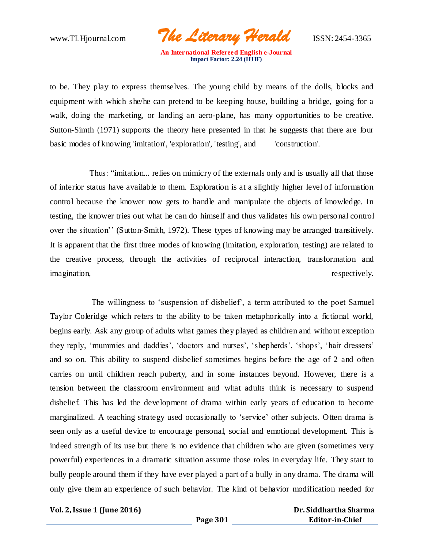www.TLHjournal.com *The Literary Herald*ISSN: 2454-3365

to be. They play to express themselves. The young child by means of the dolls, blocks and equipment with which she/he can pretend to be keeping house, building a bridge, going for a walk, doing the marketing, or landing an aero-plane, has many opportunities to be creative. Sutton-Simth (1971) supports the theory here presented in that he suggests that there are four basic modes of knowing 'imitation', 'exploration', 'testing', and 'construction'.

 Thus: "imitation... relies on mimicry of the externals only and is usually all that those of inferior status have available to them. Exploration is at a slightly higher level of information control because the knower now gets to handle and manipulate the objects of knowledge. In testing, the knower tries out what he can do himself and thus validates his own perso nal control over the situation'' (Sutton-Smith, 1972). These types of knowing may be arranged transitively. It is apparent that the first three modes of knowing (imitation, exploration, testing) are related to the creative process, through the activities of reciprocal interaction, transformation and imagination, respectively.

 The willingness to 'suspension of disbelief', a term attributed to the poet Samuel Taylor Coleridge which refers to the ability to be taken metaphorically into a fictional world, begins early. Ask any group of adults what games they played as children and without exception they reply, 'mummies and daddies', 'doctors and nurses', 'shepherds', 'shops', 'hair dressers' and so on. This ability to suspend disbelief sometimes begins before the age of 2 and often carries on until children reach puberty, and in some instances beyond. However, there is a tension between the classroom environment and what adults think is necessary to suspend disbelief. This has led the development of drama within early years of education to become marginalized. A teaching strategy used occasionally to 'service' other subjects. Often drama is seen only as a useful device to encourage personal, social and emotional development. This is indeed strength of its use but there is no evidence that children who are given (sometimes very powerful) experiences in a dramatic situation assume those roles in everyday life. They start to bully people around them if they have ever played a part of a bully in any drama. The drama will only give them an experience of such behavior. The kind of behavior modification needed for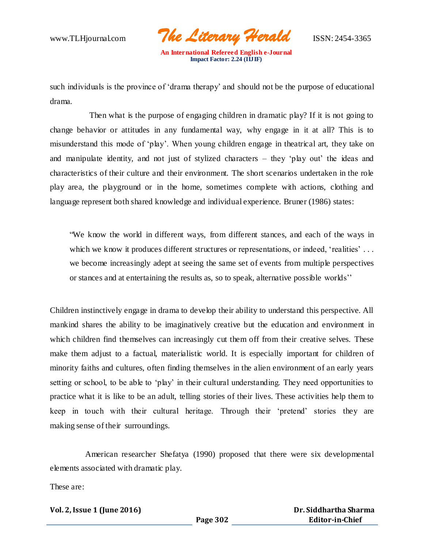www.TLHjournal.com *The Literary Herald*ISSN: 2454-3365

such individuals is the province of 'drama therapy' and should not be the purpose of educational drama.

 Then what is the purpose of engaging children in dramatic play? If it is not going to change behavior or attitudes in any fundamental way, why engage in it at all? This is to misunderstand this mode of 'play'. When young children engage in theatrical art, they take on and manipulate identity, and not just of stylized characters – they 'play out' the ideas and characteristics of their culture and their environment. The short scenarios undertaken in the role play area, the playground or in the home, sometimes complete with actions, clothing and language represent both shared knowledge and individual experience. Bruner (1986) states:

"We know the world in different ways, from different stances, and each of the ways in which we know it produces different structures or representations, or indeed, 'realities' ... we become increasingly adept at seeing the same set of events from multiple perspectives or stances and at entertaining the results as, so to speak, alternative possible worlds''

Children instinctively engage in drama to develop their ability to understand this perspective. All mankind shares the ability to be imaginatively creative but the education and environment in which children find themselves can increasingly cut them off from their creative selves. These make them adjust to a factual, materialistic world. It is especially important for children of minority faiths and cultures, often finding themselves in the alien environment of an early years setting or school, to be able to 'play' in their cultural understanding. They need opportunities to practice what it is like to be an adult, telling stories of their lives. These activities help them to keep in touch with their cultural heritage. Through their 'pretend' stories they are making sense of their surroundings.

 American researcher Shefatya (1990) proposed that there were six developmental elements associated with dramatic play.

These are: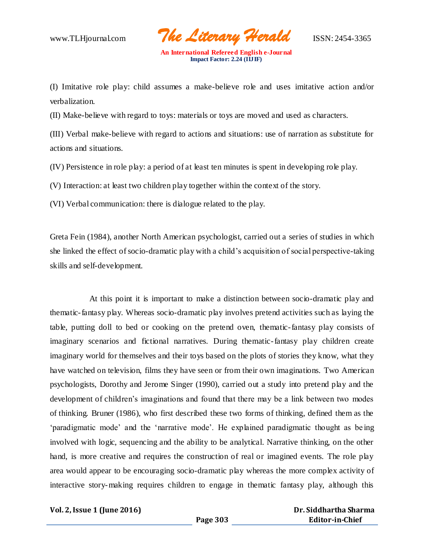www.TLHjournal.com *The Literary Herald*ISSN: 2454-3365

(I) Imitative role play: child assumes a make-believe role and uses imitative action and/or verbalization.

(II) Make-believe with regard to toys: materials or toys are moved and used as characters.

(III) Verbal make-believe with regard to actions and situations: use of narration as substitute for actions and situations.

(IV) Persistence in role play: a period of at least ten minutes is spent in developing role play.

(V) Interaction: at least two children play together within the context of the story.

(VI) Verbal communication: there is dialogue related to the play.

Greta Fein (1984), another North American psychologist, carried out a series of studies in which she linked the effect of socio-dramatic play with a child's acquisition of social perspective-taking skills and self-development.

 At this point it is important to make a distinction between socio-dramatic play and thematic-fantasy play. Whereas socio-dramatic play involves pretend activities such as laying the table, putting doll to bed or cooking on the pretend oven, thematic-fantasy play consists of imaginary scenarios and fictional narratives. During thematic-fantasy play children create imaginary world for themselves and their toys based on the plots of stories they know, what they have watched on television, films they have seen or from their own imaginations. Two American psychologists, Dorothy and Jerome Singer (1990), carried out a study into pretend play and the development of children's imaginations and found that there may be a link between two modes of thinking. Bruner (1986), who first described these two forms of thinking, defined them as the 'paradigmatic mode' and the 'narrative mode'. He explained paradigmatic thought as be ing involved with logic, sequencing and the ability to be analytical. Narrative thinking, on the other hand, is more creative and requires the construction of real or imagined events. The role play area would appear to be encouraging socio-dramatic play whereas the more complex activity of interactive story-making requires children to engage in thematic fantasy play, although this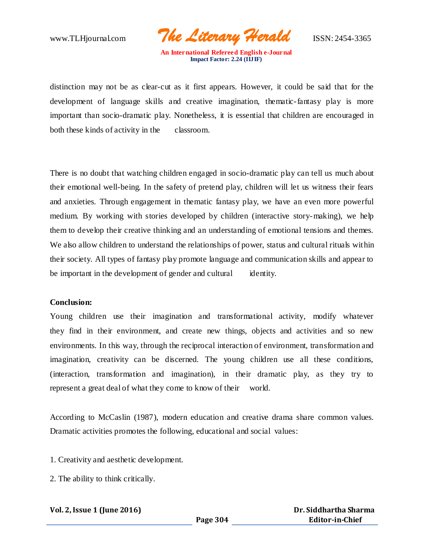www.TLHjournal.com *The Literary Herald*ISSN: 2454-3365

distinction may not be as clear-cut as it first appears. However, it could be said that for the development of language skills and creative imagination, thematic-fantasy play is more important than socio-dramatic play. Nonetheless, it is essential that children are encouraged in both these kinds of activity in the classroom.

There is no doubt that watching children engaged in socio-dramatic play can tell us much about their emotional well-being. In the safety of pretend play, children will let us witness their fears and anxieties. Through engagement in thematic fantasy play, we have an even more powerful medium. By working with stories developed by children (interactive story-making), we help them to develop their creative thinking and an understanding of emotional tensions and themes. We also allow children to understand the relationships of power, status and cultural rituals within their society. All types of fantasy play promote language and communication skills and appear to be important in the development of gender and cultural identity.

### **Conclusion:**

Young children use their imagination and transformational activity, modify whatever they find in their environment, and create new things, objects and activities and so new environments. In this way, through the reciprocal interaction of environment, transformation and imagination, creativity can be discerned. The young children use all these conditions, (interaction, transformation and imagination), in their dramatic play, as they try to represent a great deal of what they come to know of their world.

According to McCaslin (1987), modern education and creative drama share common values. Dramatic activities promotes the following, educational and social values:

1. Creativity and aesthetic development.

2. The ability to think critically.